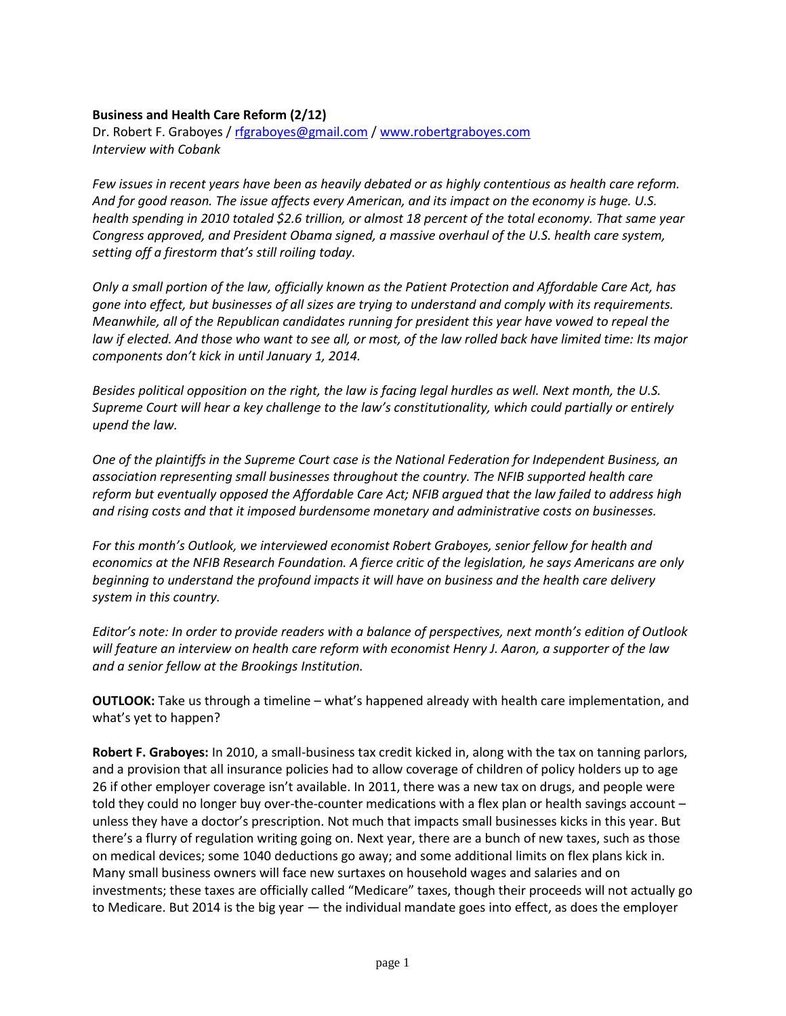## **Business and Health Care Reform (2/12)**

Dr. Robert F. Graboyes / [rfgraboyes@gmail.com](mailto:rfgraboyes@gmail.com) / [www.robertgraboyes.com](http://www.robertgraboyes.com/) *Interview with Cobank*

*Few issues in recent years have been as heavily debated or as highly contentious as health care reform. And for good reason. The issue affects every American, and its impact on the economy is huge. U.S. health spending in 2010 totaled \$2.6 trillion, or almost 18 percent of the total economy. That same year Congress approved, and President Obama signed, a massive overhaul of the U.S. health care system, setting off a firestorm that's still roiling today.* 

*Only a small portion of the law, officially known as the Patient Protection and Affordable Care Act, has gone into effect, but businesses of all sizes are trying to understand and comply with its requirements. Meanwhile, all of the Republican candidates running for president this year have vowed to repeal the law if elected. And those who want to see all, or most, of the law rolled back have limited time: Its major components don't kick in until January 1, 2014.* 

*Besides political opposition on the right, the law is facing legal hurdles as well. Next month, the U.S. Supreme Court will hear a key challenge to the law's constitutionality, which could partially or entirely upend the law.* 

*One of the plaintiffs in the Supreme Court case is the National Federation for Independent Business, an association representing small businesses throughout the country. The NFIB supported health care reform but eventually opposed the Affordable Care Act; NFIB argued that the law failed to address high and rising costs and that it imposed burdensome monetary and administrative costs on businesses.* 

*For this month's Outlook, we interviewed economist Robert Graboyes, senior fellow for health and economics at the NFIB Research Foundation. A fierce critic of the legislation, he says Americans are only beginning to understand the profound impacts it will have on business and the health care delivery system in this country.* 

*Editor's note: In order to provide readers with a balance of perspectives, next month's edition of Outlook will feature an interview on health care reform with economist Henry J. Aaron, a supporter of the law and a senior fellow at the Brookings Institution.*

**OUTLOOK:** Take us through a timeline – what's happened already with health care implementation, and what's yet to happen?

**Robert F. Graboyes:** In 2010, a small-business tax credit kicked in, along with the tax on tanning parlors, and a provision that all insurance policies had to allow coverage of children of policy holders up to age 26 if other employer coverage isn't available. In 2011, there was a new tax on drugs, and people were told they could no longer buy over-the-counter medications with a flex plan or health savings account – unless they have a doctor's prescription. Not much that impacts small businesses kicks in this year. But there's a flurry of regulation writing going on. Next year, there are a bunch of new taxes, such as those on medical devices; some 1040 deductions go away; and some additional limits on flex plans kick in. Many small business owners will face new surtaxes on household wages and salaries and on investments; these taxes are officially called "Medicare" taxes, though their proceeds will not actually go to Medicare. But 2014 is the big year — the individual mandate goes into effect, as does the employer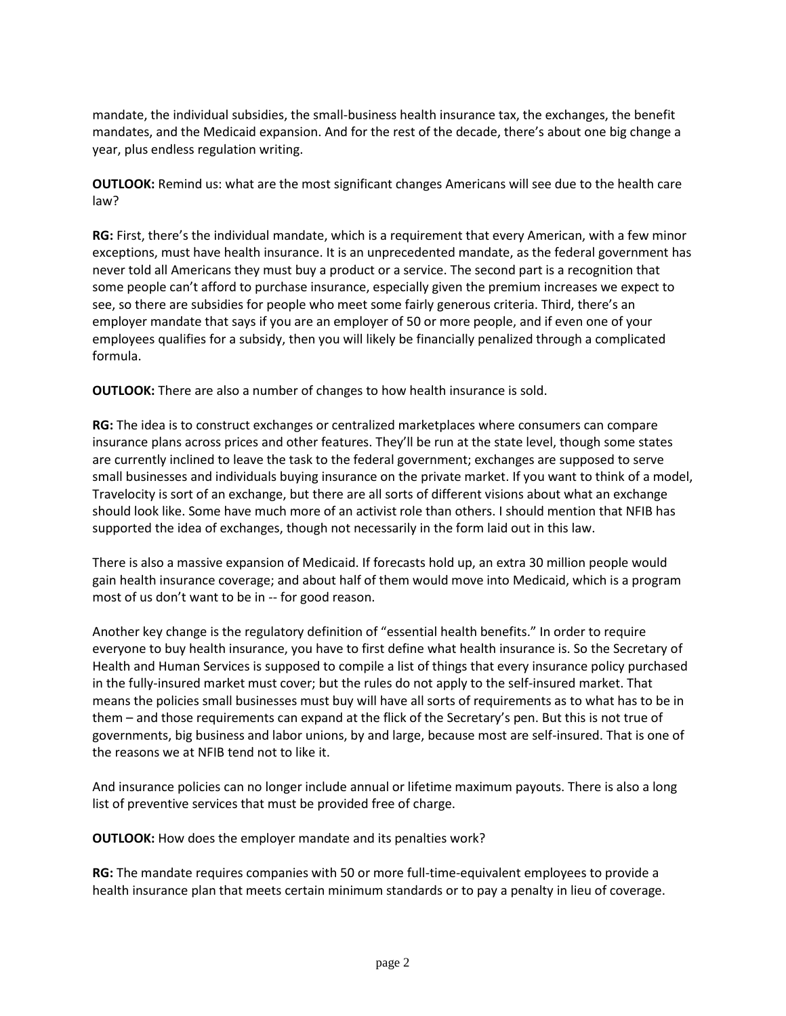mandate, the individual subsidies, the small-business health insurance tax, the exchanges, the benefit mandates, and the Medicaid expansion. And for the rest of the decade, there's about one big change a year, plus endless regulation writing.

**OUTLOOK:** Remind us: what are the most significant changes Americans will see due to the health care law?

**RG:** First, there's the individual mandate, which is a requirement that every American, with a few minor exceptions, must have health insurance. It is an unprecedented mandate, as the federal government has never told all Americans they must buy a product or a service. The second part is a recognition that some people can't afford to purchase insurance, especially given the premium increases we expect to see, so there are subsidies for people who meet some fairly generous criteria. Third, there's an employer mandate that says if you are an employer of 50 or more people, and if even one of your employees qualifies for a subsidy, then you will likely be financially penalized through a complicated formula.

**OUTLOOK:** There are also a number of changes to how health insurance is sold.

**RG:** The idea is to construct exchanges or centralized marketplaces where consumers can compare insurance plans across prices and other features. They'll be run at the state level, though some states are currently inclined to leave the task to the federal government; exchanges are supposed to serve small businesses and individuals buying insurance on the private market. If you want to think of a model, Travelocity is sort of an exchange, but there are all sorts of different visions about what an exchange should look like. Some have much more of an activist role than others. I should mention that NFIB has supported the idea of exchanges, though not necessarily in the form laid out in this law.

There is also a massive expansion of Medicaid. If forecasts hold up, an extra 30 million people would gain health insurance coverage; and about half of them would move into Medicaid, which is a program most of us don't want to be in -- for good reason.

Another key change is the regulatory definition of "essential health benefits." In order to require everyone to buy health insurance, you have to first define what health insurance is. So the Secretary of Health and Human Services is supposed to compile a list of things that every insurance policy purchased in the fully-insured market must cover; but the rules do not apply to the self-insured market. That means the policies small businesses must buy will have all sorts of requirements as to what has to be in them – and those requirements can expand at the flick of the Secretary's pen. But this is not true of governments, big business and labor unions, by and large, because most are self-insured. That is one of the reasons we at NFIB tend not to like it.

And insurance policies can no longer include annual or lifetime maximum payouts. There is also a long list of preventive services that must be provided free of charge.

**OUTLOOK:** How does the employer mandate and its penalties work?

**RG:** The mandate requires companies with 50 or more full-time-equivalent employees to provide a health insurance plan that meets certain minimum standards or to pay a penalty in lieu of coverage.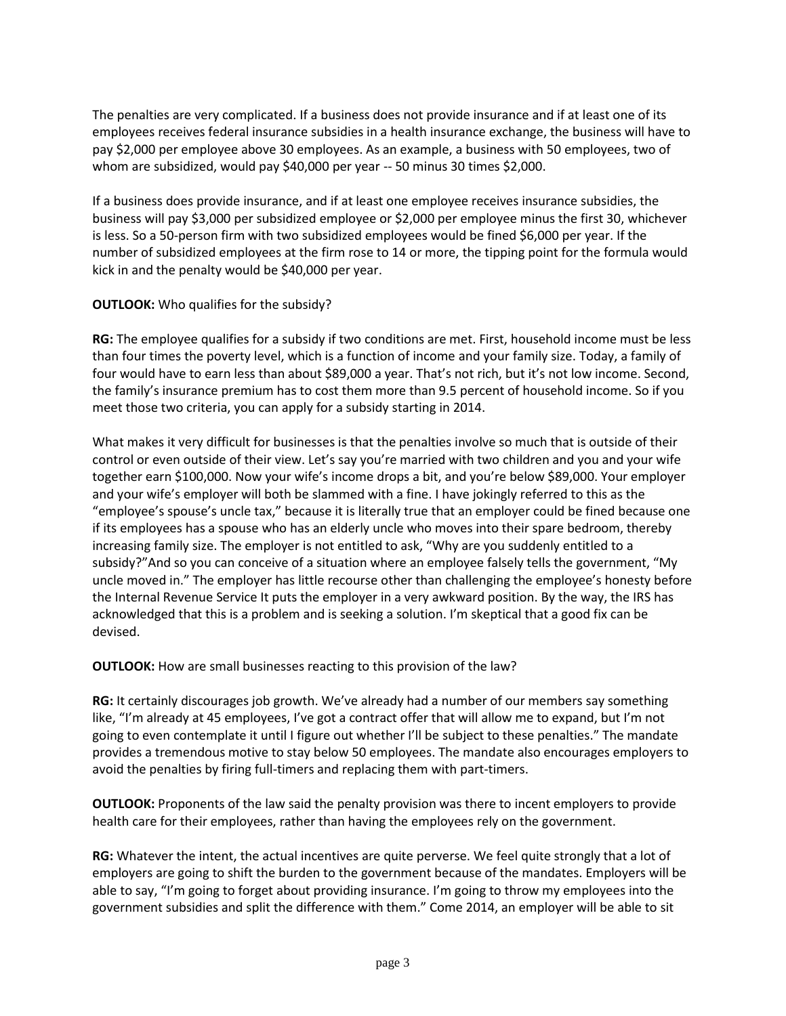The penalties are very complicated. If a business does not provide insurance and if at least one of its employees receives federal insurance subsidies in a health insurance exchange, the business will have to pay \$2,000 per employee above 30 employees. As an example, a business with 50 employees, two of whom are subsidized, would pay \$40,000 per year -- 50 minus 30 times \$2,000.

If a business does provide insurance, and if at least one employee receives insurance subsidies, the business will pay \$3,000 per subsidized employee or \$2,000 per employee minus the first 30, whichever is less. So a 50-person firm with two subsidized employees would be fined \$6,000 per year. If the number of subsidized employees at the firm rose to 14 or more, the tipping point for the formula would kick in and the penalty would be \$40,000 per year.

## **OUTLOOK:** Who qualifies for the subsidy?

**RG:** The employee qualifies for a subsidy if two conditions are met. First, household income must be less than four times the poverty level, which is a function of income and your family size. Today, a family of four would have to earn less than about \$89,000 a year. That's not rich, but it's not low income. Second, the family's insurance premium has to cost them more than 9.5 percent of household income. So if you meet those two criteria, you can apply for a subsidy starting in 2014.

What makes it very difficult for businesses is that the penalties involve so much that is outside of their control or even outside of their view. Let's say you're married with two children and you and your wife together earn \$100,000. Now your wife's income drops a bit, and you're below \$89,000. Your employer and your wife's employer will both be slammed with a fine. I have jokingly referred to this as the "employee's spouse's uncle tax," because it is literally true that an employer could be fined because one if its employees has a spouse who has an elderly uncle who moves into their spare bedroom, thereby increasing family size. The employer is not entitled to ask, "Why are you suddenly entitled to a subsidy?"And so you can conceive of a situation where an employee falsely tells the government, "My uncle moved in." The employer has little recourse other than challenging the employee's honesty before the Internal Revenue Service It puts the employer in a very awkward position. By the way, the IRS has acknowledged that this is a problem and is seeking a solution. I'm skeptical that a good fix can be devised.

**OUTLOOK:** How are small businesses reacting to this provision of the law?

**RG:** It certainly discourages job growth. We've already had a number of our members say something like, "I'm already at 45 employees, I've got a contract offer that will allow me to expand, but I'm not going to even contemplate it until I figure out whether I'll be subject to these penalties." The mandate provides a tremendous motive to stay below 50 employees. The mandate also encourages employers to avoid the penalties by firing full-timers and replacing them with part-timers.

**OUTLOOK:** Proponents of the law said the penalty provision was there to incent employers to provide health care for their employees, rather than having the employees rely on the government.

**RG:** Whatever the intent, the actual incentives are quite perverse. We feel quite strongly that a lot of employers are going to shift the burden to the government because of the mandates. Employers will be able to say, "I'm going to forget about providing insurance. I'm going to throw my employees into the government subsidies and split the difference with them." Come 2014, an employer will be able to sit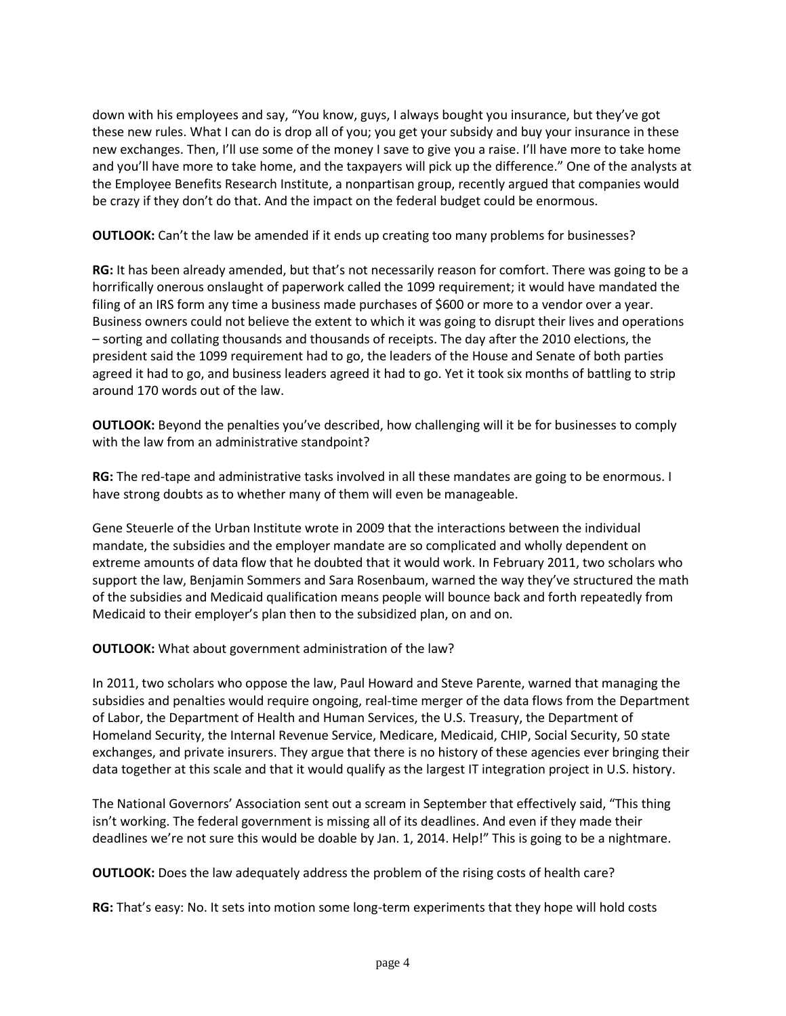down with his employees and say, "You know, guys, I always bought you insurance, but they've got these new rules. What I can do is drop all of you; you get your subsidy and buy your insurance in these new exchanges. Then, I'll use some of the money I save to give you a raise. I'll have more to take home and you'll have more to take home, and the taxpayers will pick up the difference." One of the analysts at the Employee Benefits Research Institute, a nonpartisan group, recently argued that companies would be crazy if they don't do that. And the impact on the federal budget could be enormous.

**OUTLOOK:** Can't the law be amended if it ends up creating too many problems for businesses?

**RG:** It has been already amended, but that's not necessarily reason for comfort. There was going to be a horrifically onerous onslaught of paperwork called the 1099 requirement; it would have mandated the filing of an IRS form any time a business made purchases of \$600 or more to a vendor over a year. Business owners could not believe the extent to which it was going to disrupt their lives and operations – sorting and collating thousands and thousands of receipts. The day after the 2010 elections, the president said the 1099 requirement had to go, the leaders of the House and Senate of both parties agreed it had to go, and business leaders agreed it had to go. Yet it took six months of battling to strip around 170 words out of the law.

**OUTLOOK:** Beyond the penalties you've described, how challenging will it be for businesses to comply with the law from an administrative standpoint?

**RG:** The red-tape and administrative tasks involved in all these mandates are going to be enormous. I have strong doubts as to whether many of them will even be manageable.

Gene Steuerle of the Urban Institute wrote in 2009 that the interactions between the individual mandate, the subsidies and the employer mandate are so complicated and wholly dependent on extreme amounts of data flow that he doubted that it would work. In February 2011, two scholars who support the law, Benjamin Sommers and Sara Rosenbaum, warned the way they've structured the math of the subsidies and Medicaid qualification means people will bounce back and forth repeatedly from Medicaid to their employer's plan then to the subsidized plan, on and on.

**OUTLOOK:** What about government administration of the law?

In 2011, two scholars who oppose the law, Paul Howard and Steve Parente, warned that managing the subsidies and penalties would require ongoing, real-time merger of the data flows from the Department of Labor, the Department of Health and Human Services, the U.S. Treasury, the Department of Homeland Security, the Internal Revenue Service, Medicare, Medicaid, CHIP, Social Security, 50 state exchanges, and private insurers. They argue that there is no history of these agencies ever bringing their data together at this scale and that it would qualify as the largest IT integration project in U.S. history.

The National Governors' Association sent out a scream in September that effectively said, "This thing isn't working. The federal government is missing all of its deadlines. And even if they made their deadlines we're not sure this would be doable by Jan. 1, 2014. Help!" This is going to be a nightmare.

**OUTLOOK:** Does the law adequately address the problem of the rising costs of health care?

**RG:** That's easy: No. It sets into motion some long-term experiments that they hope will hold costs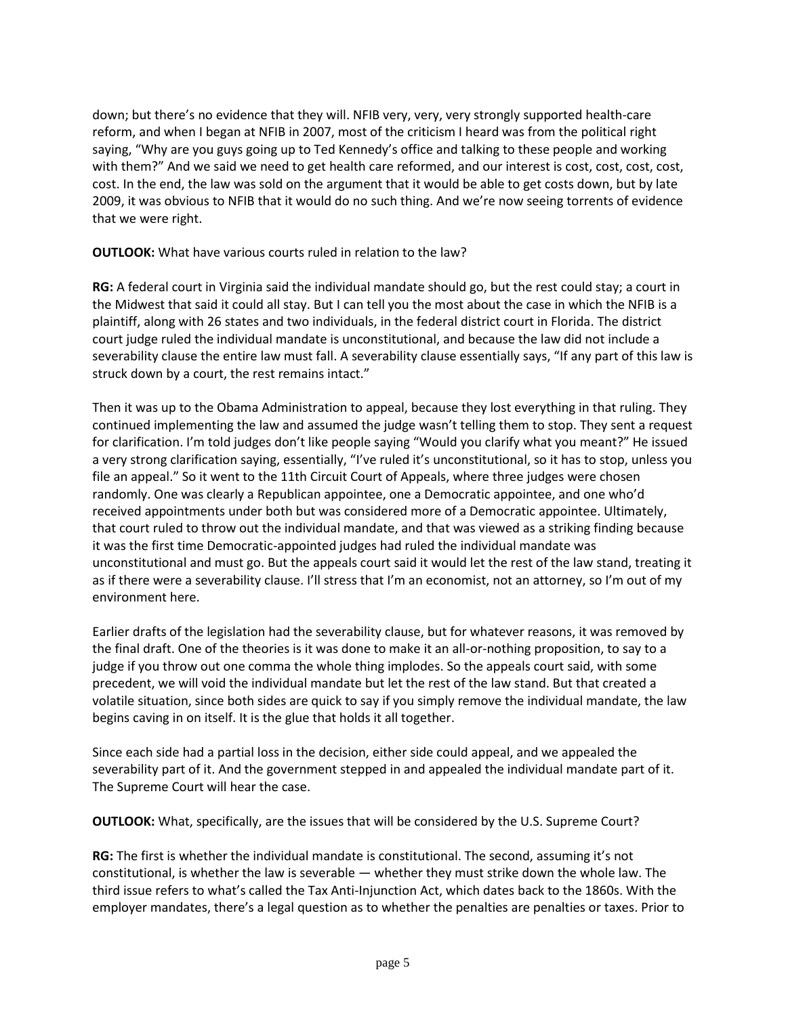down; but there's no evidence that they will. NFIB very, very, very strongly supported health-care reform, and when I began at NFIB in 2007, most of the criticism I heard was from the political right saying, "Why are you guys going up to Ted Kennedy's office and talking to these people and working with them?" And we said we need to get health care reformed, and our interest is cost, cost, cost, cost, cost. In the end, the law was sold on the argument that it would be able to get costs down, but by late 2009, it was obvious to NFIB that it would do no such thing. And we're now seeing torrents of evidence that we were right.

**OUTLOOK:** What have various courts ruled in relation to the law?

**RG:** A federal court in Virginia said the individual mandate should go, but the rest could stay; a court in the Midwest that said it could all stay. But I can tell you the most about the case in which the NFIB is a plaintiff, along with 26 states and two individuals, in the federal district court in Florida. The district court judge ruled the individual mandate is unconstitutional, and because the law did not include a severability clause the entire law must fall. A severability clause essentially says, "If any part of this law is struck down by a court, the rest remains intact."

Then it was up to the Obama Administration to appeal, because they lost everything in that ruling. They continued implementing the law and assumed the judge wasn't telling them to stop. They sent a request for clarification. I'm told judges don't like people saying "Would you clarify what you meant?" He issued a very strong clarification saying, essentially, "I've ruled it's unconstitutional, so it has to stop, unless you file an appeal." So it went to the 11th Circuit Court of Appeals, where three judges were chosen randomly. One was clearly a Republican appointee, one a Democratic appointee, and one who'd received appointments under both but was considered more of a Democratic appointee. Ultimately, that court ruled to throw out the individual mandate, and that was viewed as a striking finding because it was the first time Democratic-appointed judges had ruled the individual mandate was unconstitutional and must go. But the appeals court said it would let the rest of the law stand, treating it as if there were a severability clause. I'll stress that I'm an economist, not an attorney, so I'm out of my environment here.

Earlier drafts of the legislation had the severability clause, but for whatever reasons, it was removed by the final draft. One of the theories is it was done to make it an all-or-nothing proposition, to say to a judge if you throw out one comma the whole thing implodes. So the appeals court said, with some precedent, we will void the individual mandate but let the rest of the law stand. But that created a volatile situation, since both sides are quick to say if you simply remove the individual mandate, the law begins caving in on itself. It is the glue that holds it all together.

Since each side had a partial loss in the decision, either side could appeal, and we appealed the severability part of it. And the government stepped in and appealed the individual mandate part of it. The Supreme Court will hear the case.

**OUTLOOK:** What, specifically, are the issues that will be considered by the U.S. Supreme Court?

**RG:** The first is whether the individual mandate is constitutional. The second, assuming it's not constitutional, is whether the law is severable — whether they must strike down the whole law. The third issue refers to what's called the Tax Anti-Injunction Act, which dates back to the 1860s. With the employer mandates, there's a legal question as to whether the penalties are penalties or taxes. Prior to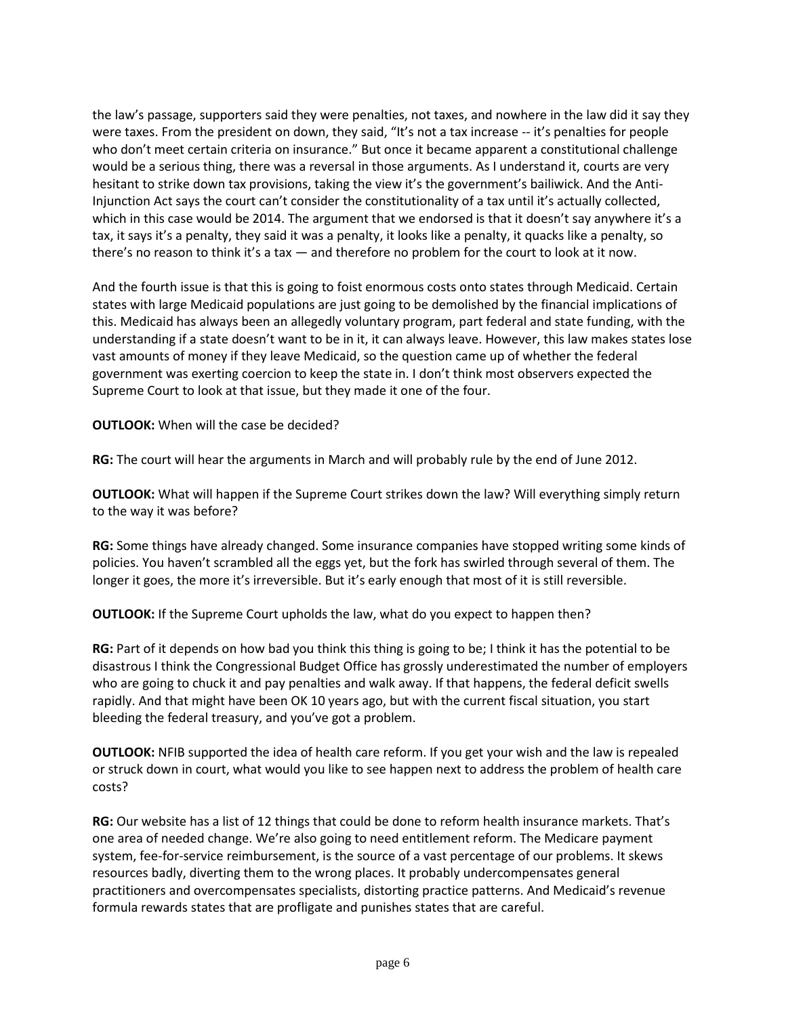the law's passage, supporters said they were penalties, not taxes, and nowhere in the law did it say they were taxes. From the president on down, they said, "It's not a tax increase -- it's penalties for people who don't meet certain criteria on insurance." But once it became apparent a constitutional challenge would be a serious thing, there was a reversal in those arguments. As I understand it, courts are very hesitant to strike down tax provisions, taking the view it's the government's bailiwick. And the Anti-Injunction Act says the court can't consider the constitutionality of a tax until it's actually collected, which in this case would be 2014. The argument that we endorsed is that it doesn't say anywhere it's a tax, it says it's a penalty, they said it was a penalty, it looks like a penalty, it quacks like a penalty, so there's no reason to think it's a tax — and therefore no problem for the court to look at it now.

And the fourth issue is that this is going to foist enormous costs onto states through Medicaid. Certain states with large Medicaid populations are just going to be demolished by the financial implications of this. Medicaid has always been an allegedly voluntary program, part federal and state funding, with the understanding if a state doesn't want to be in it, it can always leave. However, this law makes states lose vast amounts of money if they leave Medicaid, so the question came up of whether the federal government was exerting coercion to keep the state in. I don't think most observers expected the Supreme Court to look at that issue, but they made it one of the four.

**OUTLOOK:** When will the case be decided?

**RG:** The court will hear the arguments in March and will probably rule by the end of June 2012.

**OUTLOOK:** What will happen if the Supreme Court strikes down the law? Will everything simply return to the way it was before?

**RG:** Some things have already changed. Some insurance companies have stopped writing some kinds of policies. You haven't scrambled all the eggs yet, but the fork has swirled through several of them. The longer it goes, the more it's irreversible. But it's early enough that most of it is still reversible.

**OUTLOOK:** If the Supreme Court upholds the law, what do you expect to happen then?

**RG:** Part of it depends on how bad you think this thing is going to be; I think it has the potential to be disastrous I think the Congressional Budget Office has grossly underestimated the number of employers who are going to chuck it and pay penalties and walk away. If that happens, the federal deficit swells rapidly. And that might have been OK 10 years ago, but with the current fiscal situation, you start bleeding the federal treasury, and you've got a problem.

**OUTLOOK:** NFIB supported the idea of health care reform. If you get your wish and the law is repealed or struck down in court, what would you like to see happen next to address the problem of health care costs?

**RG:** Our website has a list of 12 things that could be done to reform health insurance markets. That's one area of needed change. We're also going to need entitlement reform. The Medicare payment system, fee-for-service reimbursement, is the source of a vast percentage of our problems. It skews resources badly, diverting them to the wrong places. It probably undercompensates general practitioners and overcompensates specialists, distorting practice patterns. And Medicaid's revenue formula rewards states that are profligate and punishes states that are careful.